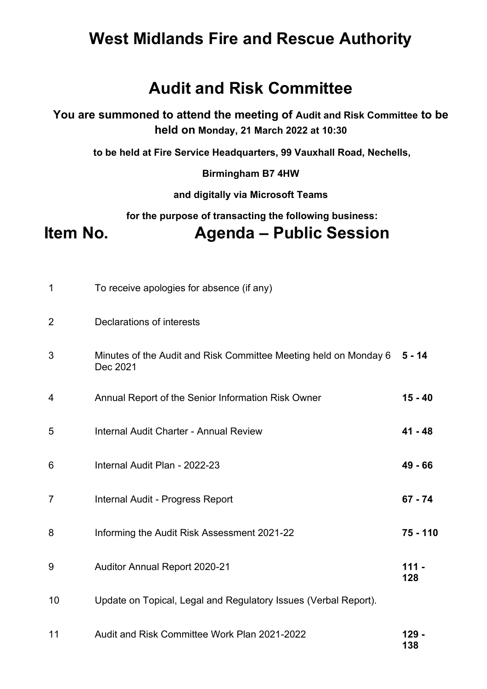# **West Midlands Fire and Rescue Authority**

## **Audit and Risk Committee**

**You are summoned to attend the meeting of Audit and Risk Committee to be held on Monday, 21 March 2022 at 10:30** 

 **to be held at Fire Service Headquarters, 99 Vauxhall Road, Nechells,** 

**Birmingham B7 4HW** 

**and digitally via Microsoft Teams** 

 **for the purpose of transacting the following business:** 

**Item No. Agenda – Public Session** 

| $\mathbf 1$    | To receive apologies for absence (if any)                                    |                |
|----------------|------------------------------------------------------------------------------|----------------|
| $\overline{2}$ | Declarations of interests                                                    |                |
| 3              | Minutes of the Audit and Risk Committee Meeting held on Monday 6<br>Dec 2021 | $5 - 14$       |
| 4              | Annual Report of the Senior Information Risk Owner                           | $15 - 40$      |
| 5              | Internal Audit Charter - Annual Review                                       | $41 - 48$      |
| 6              | Internal Audit Plan - 2022-23                                                | 49 - 66        |
| $\overline{7}$ | Internal Audit - Progress Report                                             | $67 - 74$      |
| 8              | Informing the Audit Risk Assessment 2021-22                                  | 75 - 110       |
| 9              | <b>Auditor Annual Report 2020-21</b>                                         | $111 -$<br>128 |
| 10             | Update on Topical, Legal and Regulatory Issues (Verbal Report).              |                |
| 11             | Audit and Risk Committee Work Plan 2021-2022                                 | 129 -<br>138   |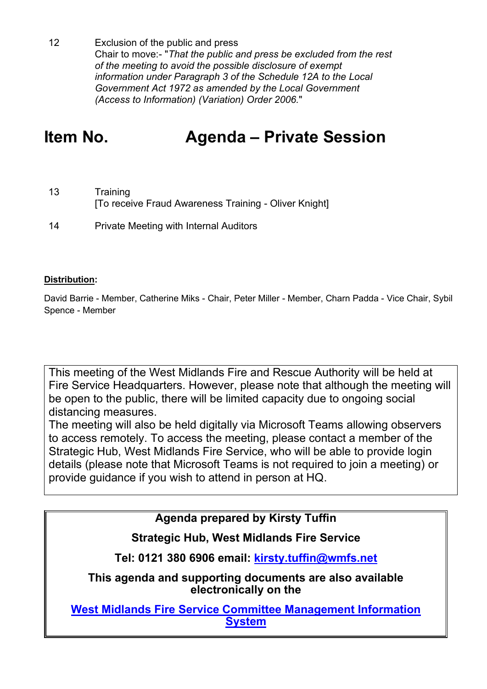12 Exclusion of the public and press Chair to move:- "*That the public and press be excluded from the rest of the meeting to avoid the possible disclosure of exempt information under Paragraph 3 of the Schedule 12A to the Local Government Act 1972 as amended by the Local Government (Access to Information) (Variation) Order 2006.*"

# **Item No. Agenda – Private Session**

- 13 Training [To receive Fraud Awareness Training - Oliver Knight]
- 14 Private Meeting with Internal Auditors

#### **Distribution:**

David Barrie - Member, Catherine Miks - Chair, Peter Miller - Member, Charn Padda - Vice Chair, Sybil Spence - Member

This meeting of the West Midlands Fire and Rescue Authority will be held at Fire Service Headquarters. However, please note that although the meeting will be open to the public, there will be limited capacity due to ongoing social distancing measures.

The meeting will also be held digitally via Microsoft Teams allowing observers to access remotely. To access the meeting, please contact a member of the Strategic Hub, West Midlands Fire Service, who will be able to provide login details (please note that Microsoft Teams is not required to join a meeting) or provide guidance if you wish to attend in person at HQ.

### **Agenda prepared by Kirsty Tuffin**

## **Strategic Hub, West Midlands Fire Service**

**Tel: 0121 380 6906 email: [kirsty.tuffin@wmfs.net](mailto:Kirsty.tuffin@wmfs.net)**

**This agenda and supporting documents are also available electronically on the** 

**[West Midlands Fire Service Committee Management Information](https://wmfs.cmis.uk.com/cmis5/)  [System](https://wmfs.cmis.uk.com/cmis5/)**